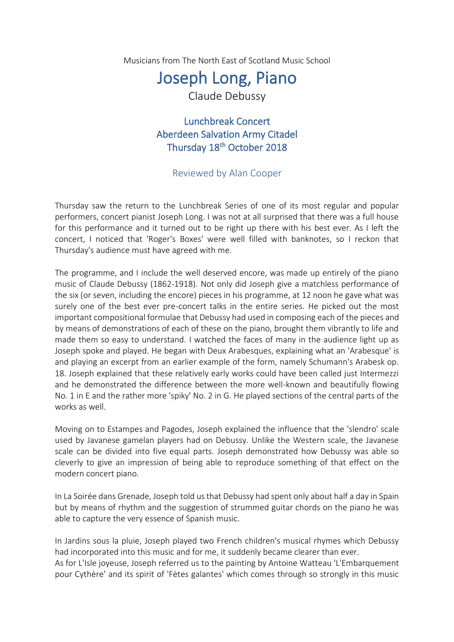Musicians from The North East of Scotland Music School

## Joseph Long, Piano

Claude Debussy

Lunchbreak Concert Aberdeen Salvation Army Citadel Thursday 18<sup>th</sup> October 2018

## Reviewed by Alan Cooper

Thursday saw the return to the Lunchbreak Series of one of its most regular and popular performers, concert pianist Joseph Long. I was not at all surprised that there was a full house for this performance and it turned out to be right up there with his best ever. As I left the concert, I noticed that 'Roger's Boxes' were well filled with banknotes, so I reckon that Thursday's audience must have agreed with me.

The programme, and I include the well deserved encore, was made up entirely of the piano music of Claude Debussy (1862-1918). Not only did Joseph give a matchless performance of the six (or seven, including the encore) pieces in his programme, at 12 noon he gave what was surely one of the best ever pre-concert talks in the entire series. He picked out the most important compositional formulae that Debussy had used in composing each of the pieces and by means of demonstrations of each of these on the piano, brought them vibrantly to life and made them so easy to understand. I watched the faces of many in the audience light up as Joseph spoke and played. He began with Deux Arabesques, explaining what an 'Arabesque' is and playing an excerpt from an earlier example of the form, namely Schumann's Arabesk op. 18. Joseph explained that these relatively early works could have been called just Intermezzi and he demonstrated the difference between the more well-known and beautifully flowing No. 1 in E and the rather more 'spiky' No. 2 in G. He played sections of the central parts of the works as well.

Moving on to Estampes and Pagodes, Joseph explained the influence that the 'slendro' scale used by Javanese gamelan players had on Debussy. Unlike the Western scale, the Javanese scale can be divided into five equal parts. Joseph demonstrated how Debussy was able so cleverly to give an impression of being able to reproduce something of that effect on the modern concert piano.

In La Soirée dans Grenade, Joseph told us that Debussy had spent only about half a day in Spain but by means of rhythm and the suggestion of strummed guitar chords on the piano he was able to capture the very essence of Spanish music.

In Jardins sous la pluie, Joseph played two French children's musical rhymes which Debussy had incorporated into this music and for me, it suddenly became clearer than ever. As for L'Isle joyeuse, Joseph referred us to the painting by Antoine Watteau 'L'Embarquement pour Cythère' and its spirit of 'Fètes galantes' which comes through so strongly in this music